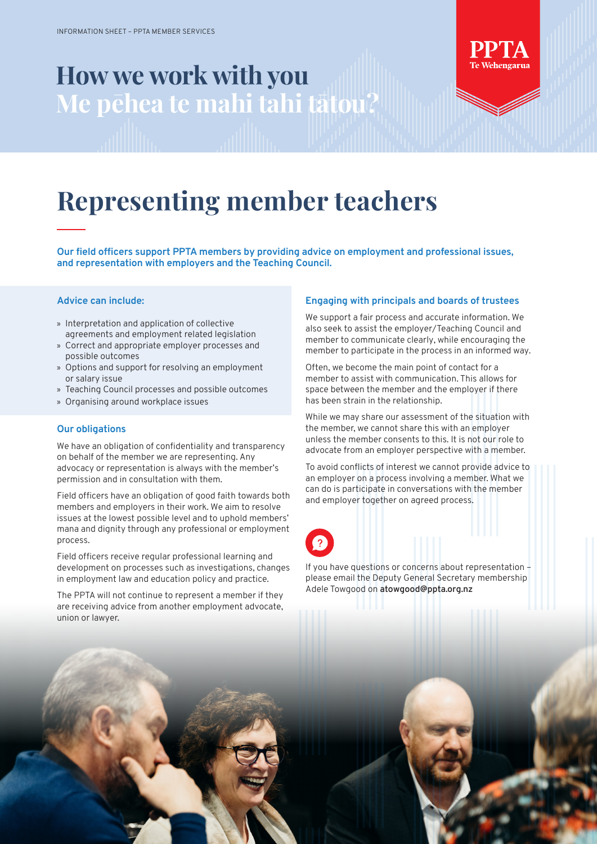# **How we work with you Me pēhea te mahi tahi tātou?**



## **Representing member teachers**

**Our field officers support PPTA members by providing advice on employment and professional issues, and representation with employers and the Teaching Council.** 

#### **Advice can include:**

- » Interpretation and application of collective agreements and employment related legislation
- » Correct and appropriate employer processes and possible outcomes
- » Options and support for resolving an employment or salary issue
- » Teaching Council processes and possible outcomes
- » Organising around workplace issues

#### **Our obligations**

We have an obligation of confidentiality and transparency on behalf of the member we are representing. Any advocacy or representation is always with the member's permission and in consultation with them.

Field officers have an obligation of good faith towards both members and employers in their work. We aim to resolve issues at the lowest possible level and to uphold members' mana and dignity through any professional or employment process.

Field officers receive regular professional learning and development on processes such as investigations, changes in employment law and education policy and practice.

The PPTA will not continue to represent a member if they are receiving advice from another employment advocate, union or lawyer.

#### **Engaging with principals and boards of trustees**

We support a fair process and accurate information. We also seek to assist the employer/Teaching Council and member to communicate clearly, while encouraging the member to participate in the process in an informed way.

Often, we become the main point of contact for a member to assist with communication. This allows for space between the member and the employer if there has been strain in the relationship.

While we may share our assessment of the situation with the member, we cannot share this with an employer unless the member consents to this. It is not our role to advocate from an employer perspective with a member.

To avoid conflicts of interest we cannot provide advice to an employer on a process involving a member. What we can do is participate in conversations with the member and employer together on agreed process.

If you have questions or concerns about representation – please email the Deputy General Secretary membership Adele Towgood on **atowgood@ppta.org.nz**